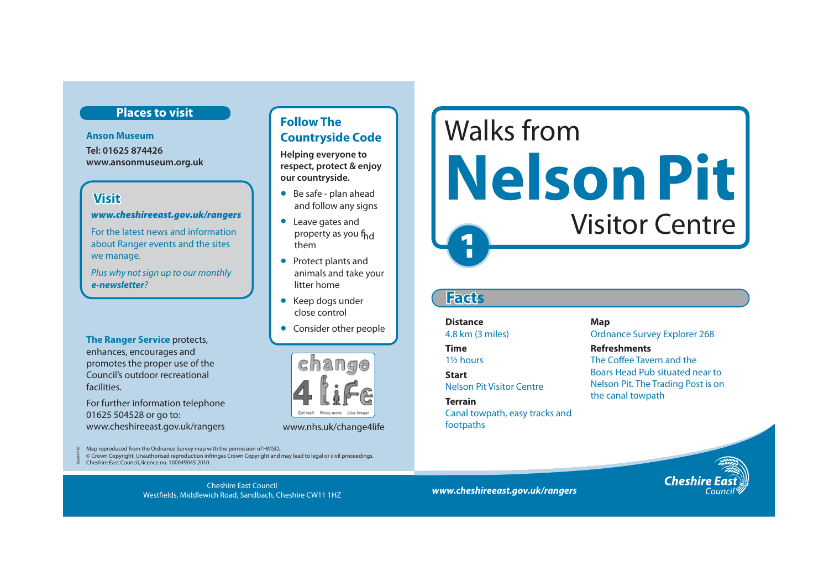## **Places to visit**

**Anson Museum Tel: 01625 874426 www.ansonmuseum.org.uk** 

## **Visit**

#### *www.cheshireeast.gov.uk/rangers*

For the latest news and information about Ranger events and the sites we manage.

Plus why not sign up to our monthly *e-newsletter*?

**The Ranger Service** protects, enhances, encourages and promotes the proper use of the Council's outdoor recreational facilities.

For further information telephone 01625 504528 or go to: www.cheshireeast.gov.uk/rangers www.nhs.uk/change4life

Map reproduced from the Ordnance Survey map with the permission of HMSO.

© Crown Copyright. Unauthorised reproduction infringes Crown Copyright and may lead to legal or civil proceedings.

Cheshire East Council, licence no. 100049045 2010. Sep 09/167

# **Follow The Countryside Code**

**Helping everyone to respect, protect & enjoy our countryside.**

- Be safe plan ahead and follow any signs
- Leave gates and property as you f<sub>hd</sub> them
- Protect plants and animals and take your litter home
- Keep dogs under close control
- Consider other people



**1** Walks from **Nelson Pit**  Visitor Centre

# **Fact s**

# **Distance** Map

**Terrain Terrain Terrain Terrain Terrain** Canal towpath, easy tracks and footpaths

4.8 km (3 miles) Ordnance Survey Explorer 268

**Time Refreshments** 1<sup>1</sup>/<sub>2</sub> hours The Coffee Tavern and the Boars Head Pub situated near to **Start** Nelson Pit Visitor Centre Nelson Pit. The Trading Post is on

*www.cheshireeast.gov.uk/rangers* Cheshire East Council Westfields, Middlewich Road, Sandbach, Cheshire CW11 1HZ

**Cheshire**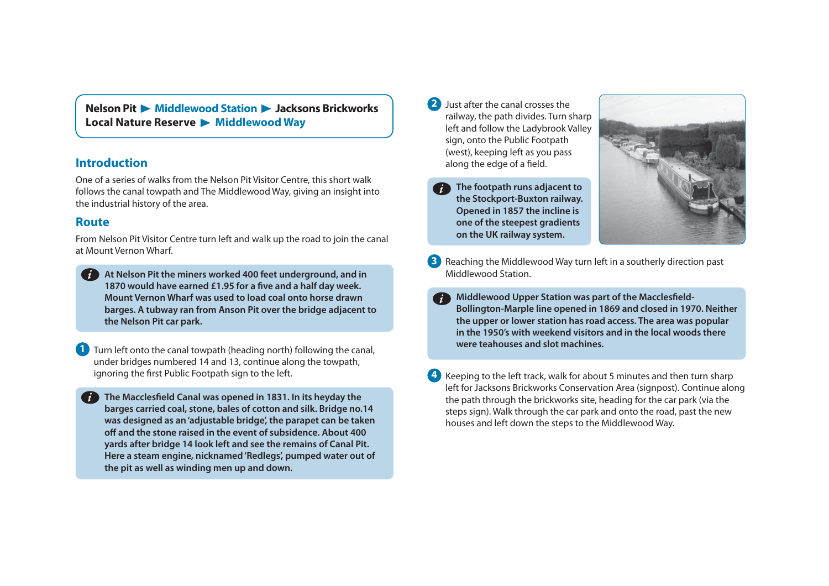**Nelson Pit • Middlewood Station • Jacksons Brickworks** Local Nature Reserve > Middlewood Way

#### **Introduction**

One of a series of walks from the Nelson Pit Visitor Centre, this short walk follows the canal towpath and The Middlewood Way, giving an insight into the industrial history of the area.

#### **Route**

From Nelson Pit Visitor Centre turn left and walk up the road to join the canal at Mount Vernon Wharf.

**At Nelson Pit the miners worked 400 feet underground, and in**  *i***1870 would have earned £1.95 for a five and a half day week. Mount Vernon Wharf was used to load coal onto horse drawn barges. A tubway ran from Anson Pit over the bridge adjacent to the Nelson Pit car park.** 

**1** Turn left onto the canal towpath (heading north) following the canal, under bridges numbered 14 and 13, continue along the towpath, ignoring the first Public Footpath sign to the left.

**The Macclesfield Canal was opened in 1831. In its heyday the barges carried coal, stone, bales of cotton and silk. Bridge no.14 was designed as an 'adjustable bridge', the parapet can be taken off and the stone raised in the event of subsidence. About 400 yards after bridge 14 look left and see the remains of Canal Pit. Here a steam engine, nicknamed 'Redlegs', pumped water out of the pit as well as winding men up and down.** 

**2** Just after the canal crosses the railway, the path divides. Turn sharp left and follow the Ladybrook Valley sign, onto the Public Footpath (west), keeping left as you pass along the edge of a field.

**on the UK railway system.** 





- **3** Reaching the Middlewood Way turn left in a southerly direction past Middlewood Station.
	- **Middlewood Upper Station was part of the Macclesfield-Bollington-Marple line opened in 1869 and closed in 1970. Neither the upper or lower station has road access. The area was popular in the 1950's with weekend visitors and in the local woods there were teahouses and slot machines.** *i*
- **4 Keeping to the left track, walk for about 5 minutes and then turn sharp** left for Jacksons Brickworks Conservation Area (signpost). Continue along the path through the brickworks site, heading for the car park (via the steps sign). Walk through the car park and onto the road, past the new houses and left down the steps to the Middlewood Way.